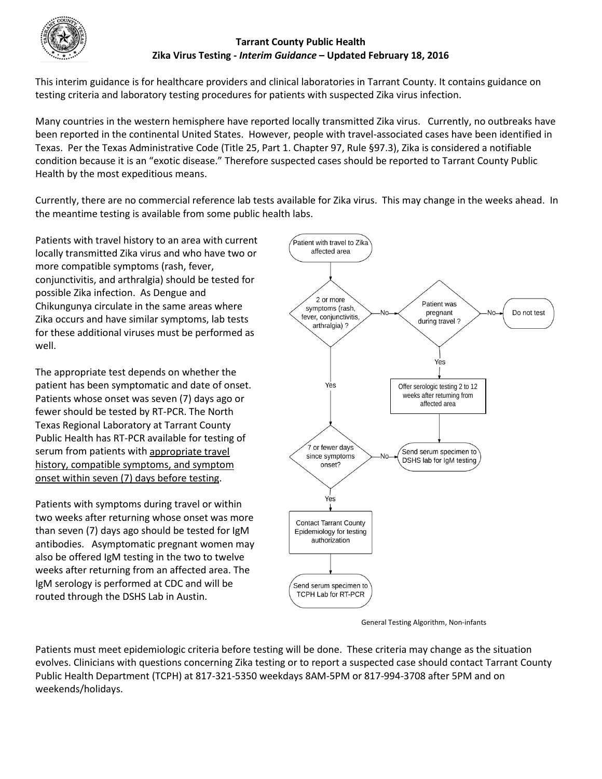

## **Tarrant County Public Health Zika Virus Testing -** *Interim Guidance* **– Updated February 18, 2016**

This interim guidance is for healthcare providers and clinical laboratories in Tarrant County. It contains guidance on testing criteria and laboratory testing procedures for patients with suspected Zika virus infection.

Many countries in the western hemisphere have reported locally transmitted Zika virus. Currently, no outbreaks have been reported in the continental United States. However, people with travel-associated cases have been identified in Texas. Per the Texas Administrative Code (Title 25, Part 1. Chapter 97, Rule §97.3), Zika is considered a notifiable condition because it is an "exotic disease." Therefore suspected cases should be reported to Tarrant County Public Health by the most expeditious means.

Currently, there are no commercial reference lab tests available for Zika virus. This may change in the weeks ahead. In the meantime testing is available from some public health labs.

Patients with travel history to an area with current locally transmitted Zika virus and who have two or more compatible symptoms (rash, fever, conjunctivitis, and arthralgia) should be tested for possible Zika infection. As Dengue and Chikungunya circulate in the same areas where Zika occurs and have similar symptoms, lab tests for these additional viruses must be performed as well.

The appropriate test depends on whether the patient has been symptomatic and date of onset. Patients whose onset was seven (7) days ago or fewer should be tested by RT-PCR. The North Texas Regional Laboratory at Tarrant County Public Health has RT-PCR available for testing of serum from patients with appropriate travel history, compatible symptoms, and symptom onset within seven (7) days before testing.

Patients with symptoms during travel or within two weeks after returning whose onset was more than seven (7) days ago should be tested for IgM antibodies. Asymptomatic pregnant women may also be offered IgM testing in the two to twelve weeks after returning from an affected area. The IgM serology is performed at CDC and will be routed through the DSHS Lab in Austin.



General Testing Algorithm, Non-infants

Patients must meet epidemiologic criteria before testing will be done. These criteria may change as the situation evolves. Clinicians with questions concerning Zika testing or to report a suspected case should contact Tarrant County Public Health Department (TCPH) at 817-321-5350 weekdays 8AM-5PM or 817-994-3708 after 5PM and on weekends/holidays.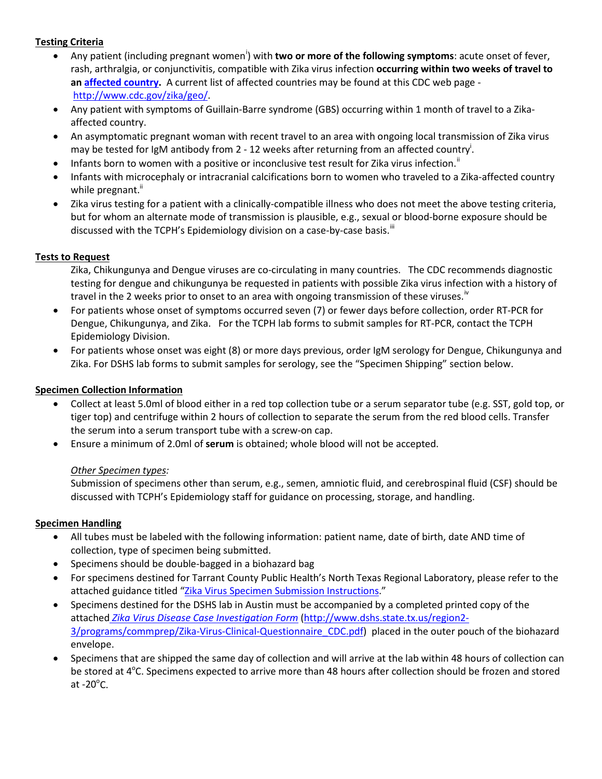# **Testing Criteria**

- Any pat[i](#page-2-0)ent (including pregnant women<sup>i</sup>) with two or more of the following symptoms: acute onset of fever, rash, arthralgia, or conjunctivitis, compatible with Zika virus infection **occurring within two weeks of travel to an [affected country.](http://www.cdc.gov/zika/geo/)** A current list of affected countries may be found at this CDC web page [http://www.cdc.gov/zika/geo/.](http://www.cdc.gov/zika/geo/)
- Any patient with symptoms of Guillain-Barre syndrome (GBS) occurring within 1 month of travel to a Zikaaffected country.
- An asymptomatic pregnant woman with recent travel to an area with ongoing local transmission of Zika virus may be tested for IgM antibody from 2 - 12 weeks after returning from an affected country<sup>i</sup>.
- Infants born to women with a positive or inconclusive test result for Zika virus infection.<sup>[ii](#page-2-1)</sup>
- Infants with microcephaly or intracranial calcifications born to women who traveled to a Zika-affected country while pregnant."
- Zika virus testing for a patient with a clinically-compatible illness who does not meet the above testing criteria, but for whom an alternate mode of transmission is plausible, e.g., sexual or blood-borne exposure should be discussed with the TCPH's Epidemiology division on a case-by-case basis.<sup>[iii](#page-2-2)</sup>

## **Tests to Request**

- Zika, Chikungunya and Dengue viruses are co-circulating in many countries. The CDC recommends diagnostic testing for dengue and chikungunya be requested in patients with possible Zika virus infection with a history of travel in the 2 weeks prior to onset to an area with ongoing transmission of these viruses.<sup>17</sup>
- For patients whose onset of symptoms occurred seven (7) or fewer days before collection, order RT-PCR for Dengue, Chikungunya, and Zika. For the TCPH lab forms to submit samples for RT-PCR, contact the TCPH Epidemiology Division.
- For patients whose onset was eight (8) or more days previous, order IgM serology for Dengue, Chikungunya and Zika. For DSHS lab forms to submit samples for serology, see the "Specimen Shipping" section below.

## **Specimen Collection Information**

- Collect at least 5.0ml of blood either in a red top collection tube or a serum separator tube (e.g. SST, gold top, or tiger top) and centrifuge within 2 hours of collection to separate the serum from the red blood cells. Transfer the serum into a serum transport tube with a screw-on cap.
- Ensure a minimum of 2.0ml of **serum** is obtained; whole blood will not be accepted.

#### *Other Specimen types:*

Submission of specimens other than serum, e.g., semen, amniotic fluid, and cerebrospinal fluid (CSF) should be discussed with TCPH's Epidemiology staff for guidance on processing, storage, and handling.

#### **Specimen Handling**

- All tubes must be labeled with the following information: patient name, date of birth, date AND time of collection, type of specimen being submitted.
- Specimens should be double-bagged in a biohazard bag
- For specimens destined for Tarrant County Public Health's North Texas Regional Laboratory, please refer to the attached guidance titled ["Zika Virus Specimen Submission Instructions.](http://access.tarrantcounty.com/content/dam/main/public-health/PH%20DOCUMENTS/Epi/Zika%20Virus/Zika_Virus_Specimen_Submission_Instructions_021616.pdf)"
- Specimens destined for the DSHS lab in Austin must be accompanied by a completed printed copy of the attached *[Zika Virus Disease Case Investigation Form](http://www.dshs.state.tx.us/region2-3/programs/commprep/Zika-Virus-Clinical-Questionnaire_CDC.pdf)* [\(http://www.dshs.state.tx.us/region2-](http://www.dshs.state.tx.us/region2-3/programs/commprep/Zika-Virus-Clinical-Questionnaire_CDC.pdf) [3/programs/commprep/Zika-Virus-Clinical-Questionnaire\\_CDC.pdf\)](http://www.dshs.state.tx.us/region2-3/programs/commprep/Zika-Virus-Clinical-Questionnaire_CDC.pdf) placed in the outer pouch of the biohazard envelope.
- Specimens that are shipped the same day of collection and will arrive at the lab within 48 hours of collection can be stored at 4°C. Specimens expected to arrive more than 48 hours after collection should be frozen and stored at -20 $^{\circ}$ C.